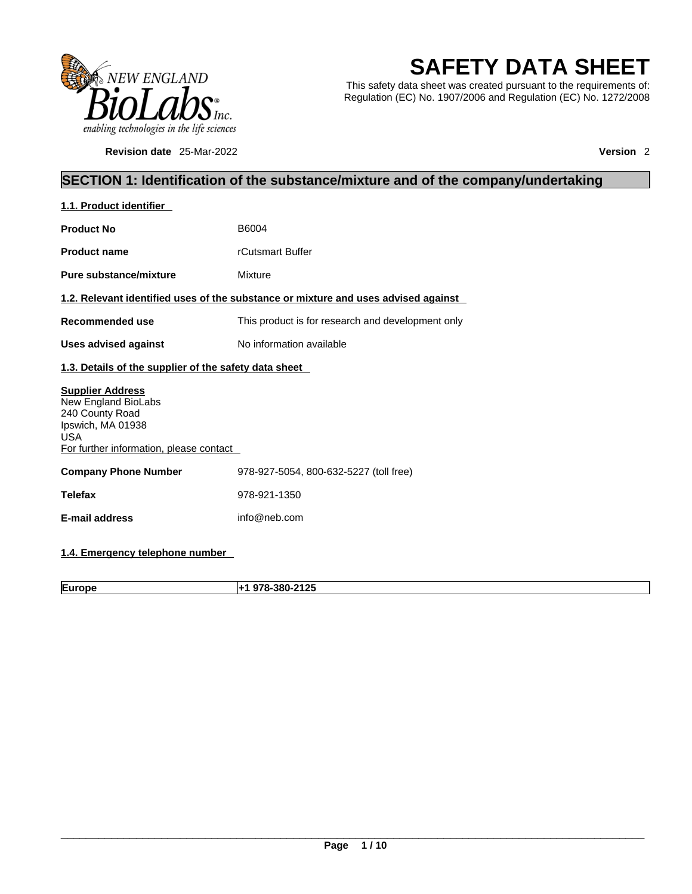

**Revision date** 25-Mar-2022 **Version** 2

# **SAFETY DATA SHEET**

This safety data sheet was created pursuant to the requirements of: Regulation (EC) No. 1907/2006 and Regulation (EC) No. 1272/2008

### **SECTION 1: Identification of the substance/mixture and of the company/undertaking**

| 1.1. Product identifier                                                                                                                         |                                                                                    |  |
|-------------------------------------------------------------------------------------------------------------------------------------------------|------------------------------------------------------------------------------------|--|
| <b>Product No</b>                                                                                                                               | B6004                                                                              |  |
| <b>Product name</b>                                                                                                                             | rCutsmart Buffer                                                                   |  |
| Pure substance/mixture                                                                                                                          | Mixture                                                                            |  |
|                                                                                                                                                 | 1.2. Relevant identified uses of the substance or mixture and uses advised against |  |
| <b>Recommended use</b>                                                                                                                          | This product is for research and development only                                  |  |
| <b>Uses advised against</b>                                                                                                                     | No information available                                                           |  |
| 1.3. Details of the supplier of the safety data sheet                                                                                           |                                                                                    |  |
| <b>Supplier Address</b><br>New England BioLabs<br>240 County Road<br>Ipswich, MA 01938<br><b>USA</b><br>For further information, please contact |                                                                                    |  |
| <b>Company Phone Number</b>                                                                                                                     | 978-927-5054, 800-632-5227 (toll free)                                             |  |
| <b>Telefax</b>                                                                                                                                  | 978-921-1350                                                                       |  |
| E-mail address                                                                                                                                  | info@neb.com                                                                       |  |
|                                                                                                                                                 |                                                                                    |  |

### **1.4. Emergency telephone number**

**Europe +1 978-380-2125**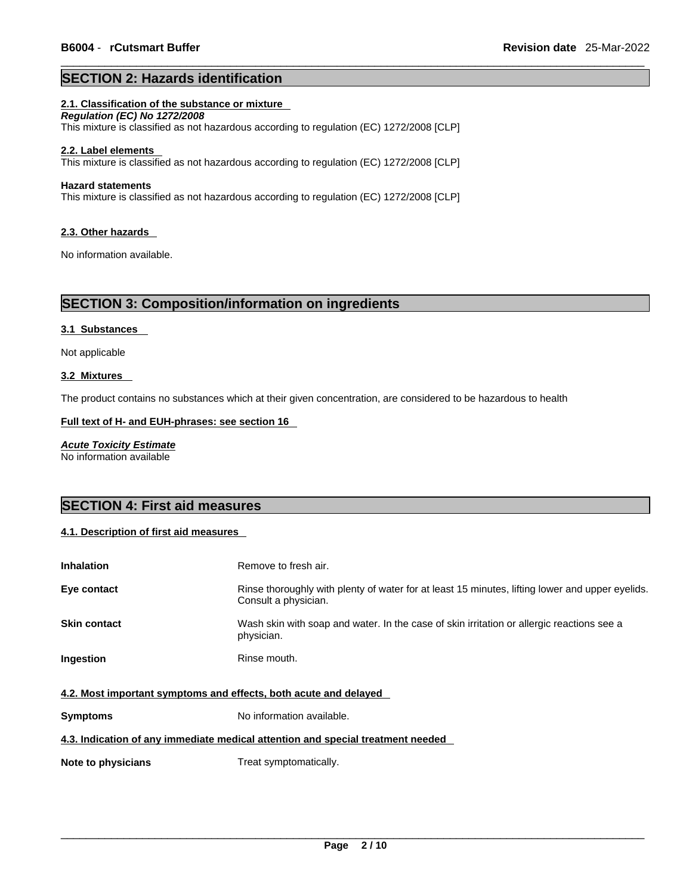### **SECTION 2: Hazards identification**

#### **2.1. Classification of the substance or mixture**

*Regulation (EC) No 1272/2008*  This mixture is classified as not hazardous according to regulation (EC) 1272/2008 [CLP]

#### **2.2. Label elements**

This mixture is classified as not hazardous according to regulation (EC) 1272/2008 [CLP]

#### **Hazard statements**

This mixture is classified as not hazardous according to regulation (EC) 1272/2008 [CLP]

#### **2.3. Other hazards**

No information available.

### **SECTION 3: Composition/information on ingredients**

#### **3.1 Substances**

Not applicable

#### **3.2 Mixtures**

The product contains no substances which at their given concentration, are considered to be hazardous to health

#### **Full text of H- and EUH-phrases: see section 16**

*Acute Toxicity Estimate* No information available

### **SECTION 4: First aid measures**

#### **4.1. Description of first aid measures**

| <b>Inhalation</b>                                                | Remove to fresh air.                                                                                                    |  |
|------------------------------------------------------------------|-------------------------------------------------------------------------------------------------------------------------|--|
| Eye contact                                                      | Rinse thoroughly with plenty of water for at least 15 minutes, lifting lower and upper eyelids.<br>Consult a physician. |  |
| <b>Skin contact</b>                                              | Wash skin with soap and water. In the case of skin irritation or allergic reactions see a<br>physician.                 |  |
| <b>Ingestion</b>                                                 | Rinse mouth.                                                                                                            |  |
| 4.2. Most important symptoms and effects, both acute and delayed |                                                                                                                         |  |
| <b>Symptoms</b>                                                  | No information available.                                                                                               |  |

#### **4.3. Indication of any immediate medical attention and special treatment needed**

**Note to physicians** Treat symptomatically.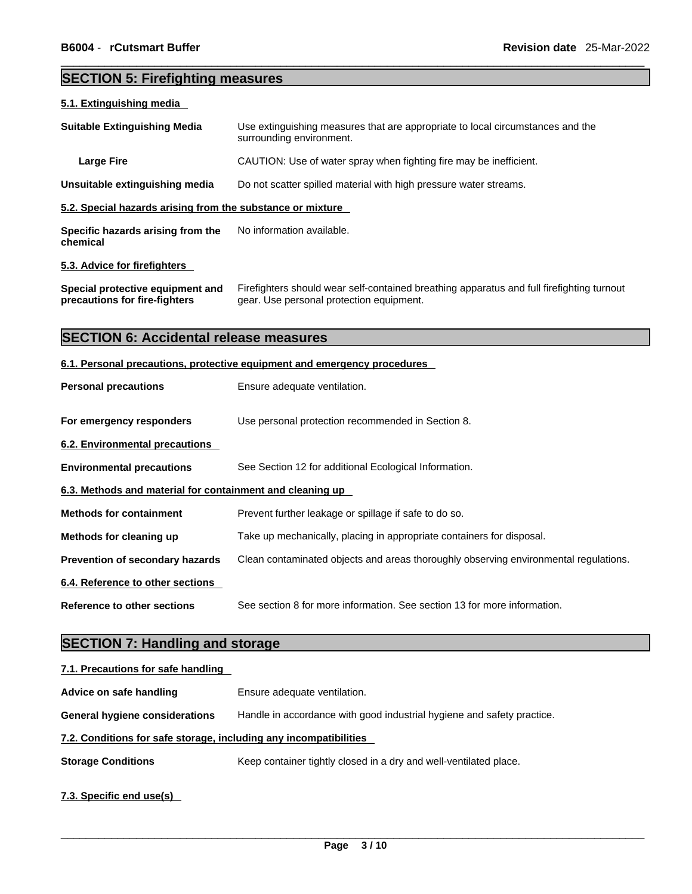### **SECTION 5: Firefighting measures**

# **5.1. Extinguishing media Suitable Extinguishing Media** Use extinguishing measures that are appropriate to local circumstances and the surrounding environment. **Large Fire Example 20** CAUTION: Use of water spray when fighting fire may be inefficient. **Unsuitable extinguishing media** Do not scatter spilled material with high pressure water streams. **5.2. Special hazards arising from the substance or mixture Specific hazards arising from the chemical** No information available. **5.3. Advice for firefighters Special protective equipment and precautions for fire-fighters** Firefighters should wear self-contained breathing apparatus and full firefighting turnout gear. Use personal protection equipment. **SECTION 6: Accidental release measures 6.1. Personal precautions, protective equipment and emergency procedures Personal precautions** Ensure adequate ventilation. **For emergency responders** Use personal protection recommended in Section 8. **6.2. Environmental precautions Environmental precautions** See Section 12 for additional Ecological Information. **6.3. Methods and material for containment and cleaning up Methods for containment** Prevent further leakage or spillage if safe to do so. **Methods for cleaning up** Take up mechanically, placing in appropriate containers for disposal. **Prevention of secondary hazards** Clean contaminated objects and areas thoroughly observing environmental regulations. **6.4. Reference to other sections Reference to other sections** See section 8 for more information. See section 13 for more information.

### **SECTION 7: Handling and storage**

| 7.1. Precautions for safe handling                                |                                                                        |
|-------------------------------------------------------------------|------------------------------------------------------------------------|
| Advice on safe handling                                           | Ensure adequate ventilation.                                           |
| <b>General hygiene considerations</b>                             | Handle in accordance with good industrial hygiene and safety practice. |
| 7.2. Conditions for safe storage, including any incompatibilities |                                                                        |
| <b>Storage Conditions</b>                                         | Keep container tightly closed in a dry and well-ventilated place.      |
| 7.3. Specific end use(s)                                          |                                                                        |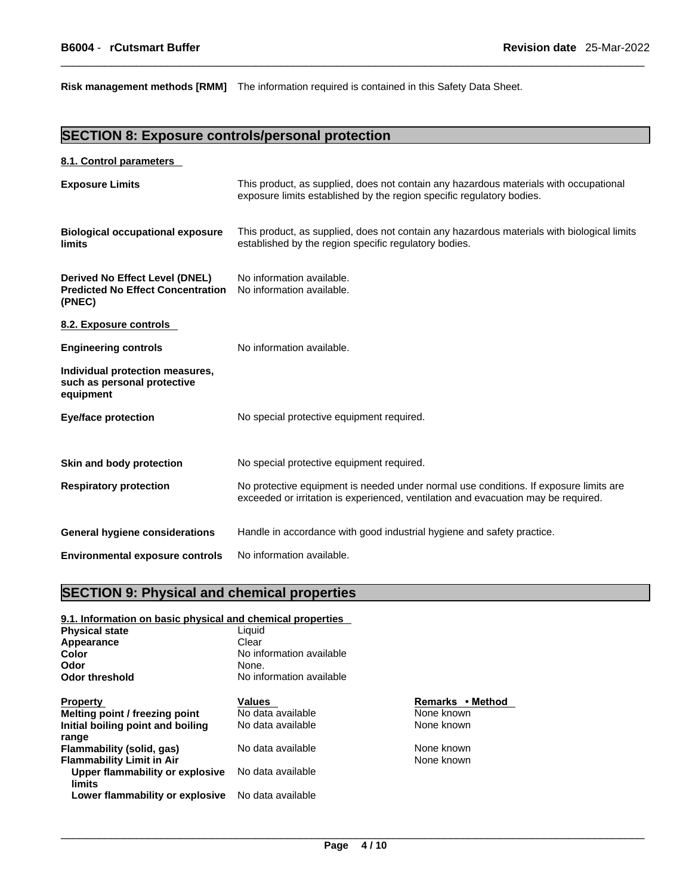**Risk management methods [RMM]** The information required is contained in this Safety Data Sheet.

### **SECTION 8: Exposure controls/personal protection**

#### **8.1. Control parameters**

| <b>Exposure Limits</b>                                                               | This product, as supplied, does not contain any hazardous materials with occupational<br>exposure limits established by the region specific regulatory bodies.              |
|--------------------------------------------------------------------------------------|-----------------------------------------------------------------------------------------------------------------------------------------------------------------------------|
| <b>Biological occupational exposure</b><br>limits                                    | This product, as supplied, does not contain any hazardous materials with biological limits<br>established by the region specific regulatory bodies.                         |
| Derived No Effect Level (DNEL)<br><b>Predicted No Effect Concentration</b><br>(PNEC) | No information available.<br>No information available.                                                                                                                      |
| 8.2. Exposure controls                                                               |                                                                                                                                                                             |
| <b>Engineering controls</b>                                                          | No information available.                                                                                                                                                   |
| Individual protection measures,<br>such as personal protective<br>equipment          |                                                                                                                                                                             |
| <b>Eye/face protection</b>                                                           | No special protective equipment required.                                                                                                                                   |
| Skin and body protection                                                             | No special protective equipment required.                                                                                                                                   |
| <b>Respiratory protection</b>                                                        | No protective equipment is needed under normal use conditions. If exposure limits are<br>exceeded or irritation is experienced, ventilation and evacuation may be required. |
| <b>General hygiene considerations</b>                                                | Handle in accordance with good industrial hygiene and safety practice.                                                                                                      |
| <b>Environmental exposure controls</b>                                               | No information available.                                                                                                                                                   |

### **SECTION 9: Physical and chemical properties**

### **9.1. Information on basic physical and chemical properties**

| <b>Physical state</b>             | Liquid                   |                  |
|-----------------------------------|--------------------------|------------------|
| Appearance                        | Clear                    |                  |
| Color                             | No information available |                  |
| Odor                              | None.                    |                  |
| Odor threshold                    | No information available |                  |
| <b>Property</b>                   | <b>Values</b>            | Remarks • Method |
| Melting point / freezing point    | No data available        | None known       |
| Initial boiling point and boiling | No data available        | None known       |
| range                             |                          |                  |
| Flammability (solid, gas)         | No data available        | None known       |
| <b>Flammability Limit in Air</b>  |                          | None known       |
| Upper flammability or explosive   | No data available        |                  |
| limits                            |                          |                  |
| Lower flammability or explosive   | No data available        |                  |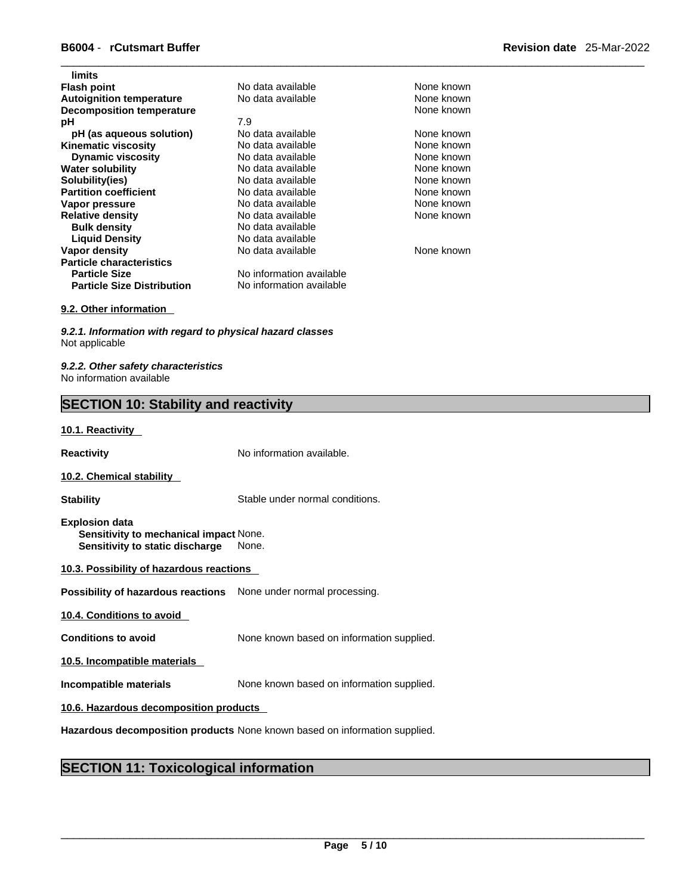| limits                            |                          |            |
|-----------------------------------|--------------------------|------------|
| <b>Flash point</b>                | No data available        | None known |
| <b>Autoignition temperature</b>   | No data available        | None known |
| <b>Decomposition temperature</b>  |                          | None known |
| рH                                | 7.9                      |            |
| pH (as aqueous solution)          | No data available        | None known |
| <b>Kinematic viscosity</b>        | No data available        | None known |
| <b>Dynamic viscosity</b>          | No data available        | None known |
| <b>Water solubility</b>           | No data available        | None known |
| Solubility(ies)                   | No data available        | None known |
| <b>Partition coefficient</b>      | No data available        | None known |
| Vapor pressure                    | No data available        | None known |
| <b>Relative density</b>           | No data available        | None known |
| <b>Bulk density</b>               | No data available        |            |
| <b>Liquid Density</b>             | No data available        |            |
| Vapor density                     | No data available        | None known |
| <b>Particle characteristics</b>   |                          |            |
| <b>Particle Size</b>              | No information available |            |
| <b>Particle Size Distribution</b> | No information available |            |
|                                   |                          |            |

#### **9.2. Other information**

*9.2.1. Information with regard to physical hazard classes* Not applicable

*9.2.2. Other safety characteristics* No information available

### **SECTION 10: Stability and reactivity**

#### **10.1. Reactivity**

**Reactivity No information available.** 

#### **10.2. Chemical stability**

**Stability** Stable under normal conditions.

- **Explosion data Sensitivity to mechanical impact** None. **Sensitivity to static discharge** None.
- **10.3. Possibility of hazardous reactions**

**Possibility of hazardous reactions** None under normal processing.

**10.4. Conditions to avoid** 

**Conditions to avoid** None known based on information supplied.

**10.5. Incompatible materials**

**Incompatible materials** None known based on information supplied.

#### **10.6. Hazardous decomposition products**

**Hazardous decomposition products** None known based on information supplied.

### **SECTION 11: Toxicological information**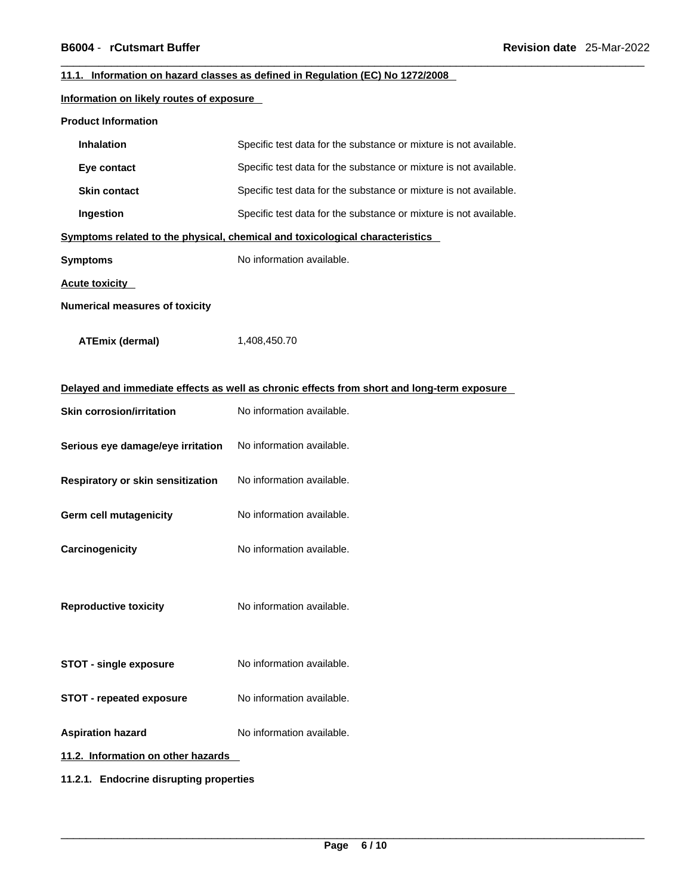#### **11.1. Information on hazard classes as defined in Regulation (EC) No 1272/2008**

#### **Information on likely routes of exposure**

| <b>Product Information</b> |
|----------------------------|
|----------------------------|

| Inhalation                                                                                 | Specific test data for the substance or mixture is not available.            |  |  |
|--------------------------------------------------------------------------------------------|------------------------------------------------------------------------------|--|--|
| Eye contact                                                                                | Specific test data for the substance or mixture is not available.            |  |  |
| <b>Skin contact</b>                                                                        | Specific test data for the substance or mixture is not available.            |  |  |
| Ingestion                                                                                  | Specific test data for the substance or mixture is not available.            |  |  |
|                                                                                            | Symptoms related to the physical, chemical and toxicological characteristics |  |  |
| <b>Symptoms</b>                                                                            | No information available.                                                    |  |  |
| <b>Acute toxicity</b>                                                                      |                                                                              |  |  |
| <b>Numerical measures of toxicity</b>                                                      |                                                                              |  |  |
| <b>ATEmix (dermal)</b>                                                                     | 1,408,450.70                                                                 |  |  |
| Delayed and immediate effects as well as chronic effects from short and long-term exposure |                                                                              |  |  |
| <b>Skin corrosion/irritation</b>                                                           | No information available.                                                    |  |  |
| Serious eye damage/eye irritation                                                          | No information available.                                                    |  |  |
| Respiratory or skin sensitization                                                          | No information available.                                                    |  |  |
| <b>Germ cell mutagenicity</b>                                                              | No information available.                                                    |  |  |
| Carcinogenicity                                                                            | No information available.                                                    |  |  |
| <b>Reproductive toxicity</b>                                                               | No information available.                                                    |  |  |
| <b>STOT - single exposure</b>                                                              | No information available.                                                    |  |  |
| <b>STOT - repeated exposure</b>                                                            | No information available.                                                    |  |  |
| <b>Aspiration hazard</b>                                                                   | No information available.                                                    |  |  |
| 11.2. Information on other hazards                                                         |                                                                              |  |  |
| 11.2.1. Endocrine disrupting properties                                                    |                                                                              |  |  |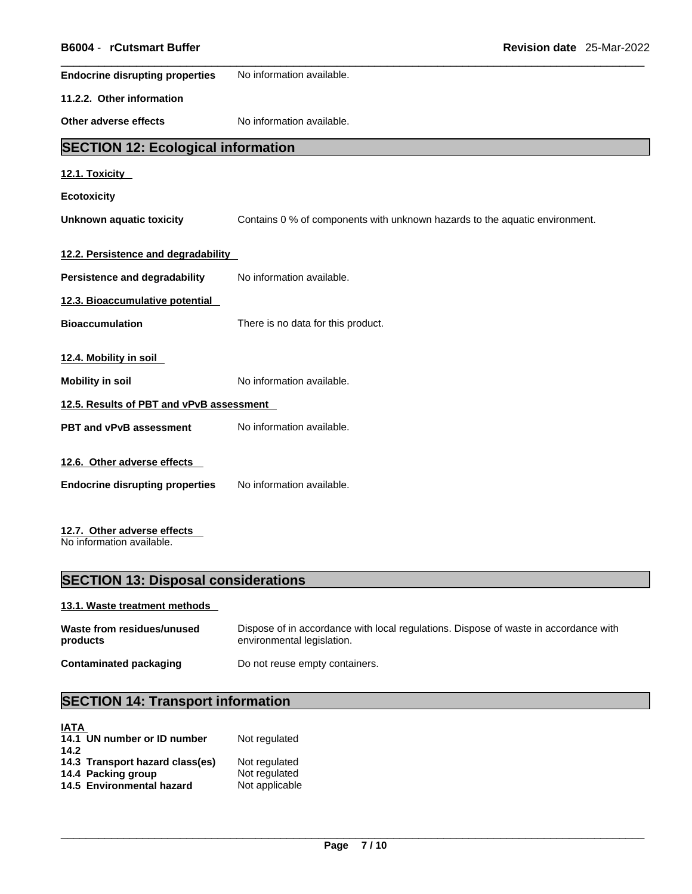| B6004 - rCutsmart Buffer                  | Revision date 25-Mar-2022                                                   |  |
|-------------------------------------------|-----------------------------------------------------------------------------|--|
| <b>Endocrine disrupting properties</b>    | No information available.                                                   |  |
| 11.2.2. Other information                 |                                                                             |  |
| Other adverse effects                     | No information available.                                                   |  |
| <b>SECTION 12: Ecological information</b> |                                                                             |  |
| 12.1. Toxicity                            |                                                                             |  |
| <b>Ecotoxicity</b>                        |                                                                             |  |
| <b>Unknown aquatic toxicity</b>           | Contains 0 % of components with unknown hazards to the aquatic environment. |  |
| 12.2. Persistence and degradability       |                                                                             |  |
| Persistence and degradability             | No information available.                                                   |  |
| 12.3. Bioaccumulative potential           |                                                                             |  |
| <b>Bioaccumulation</b>                    | There is no data for this product.                                          |  |
| 12.4. Mobility in soil                    |                                                                             |  |
| <b>Mobility in soil</b>                   | No information available.                                                   |  |
| 12.5. Results of PBT and vPvB assessment  |                                                                             |  |
| PBT and vPvB assessment                   | No information available.                                                   |  |
| 12.6. Other adverse effects               |                                                                             |  |
| <b>Endocrine disrupting properties</b>    | No information available.                                                   |  |
|                                           |                                                                             |  |
|                                           |                                                                             |  |

### **12.7. Other adverse effects**

No information available.

### **SECTION 13: Disposal considerations**

#### **13.1. Waste treatment methods**

| Waste from residues/unused    | Dispose of in accordance with local regulations. Dispose of waste in accordance with |
|-------------------------------|--------------------------------------------------------------------------------------|
| products                      | environmental legislation.                                                           |
| <b>Contaminated packaging</b> | Do not reuse empty containers.                                                       |

## **SECTION 14: Transport information**

| <b>IATA</b> |                                 |                |
|-------------|---------------------------------|----------------|
|             | 14.1 UN number or ID number     | Not regulated  |
| 14.2        |                                 |                |
|             | 14.3 Transport hazard class(es) | Not regulated  |
|             | 14.4 Packing group              | Not regulated  |
|             | 14.5 Environmental hazard       | Not applicable |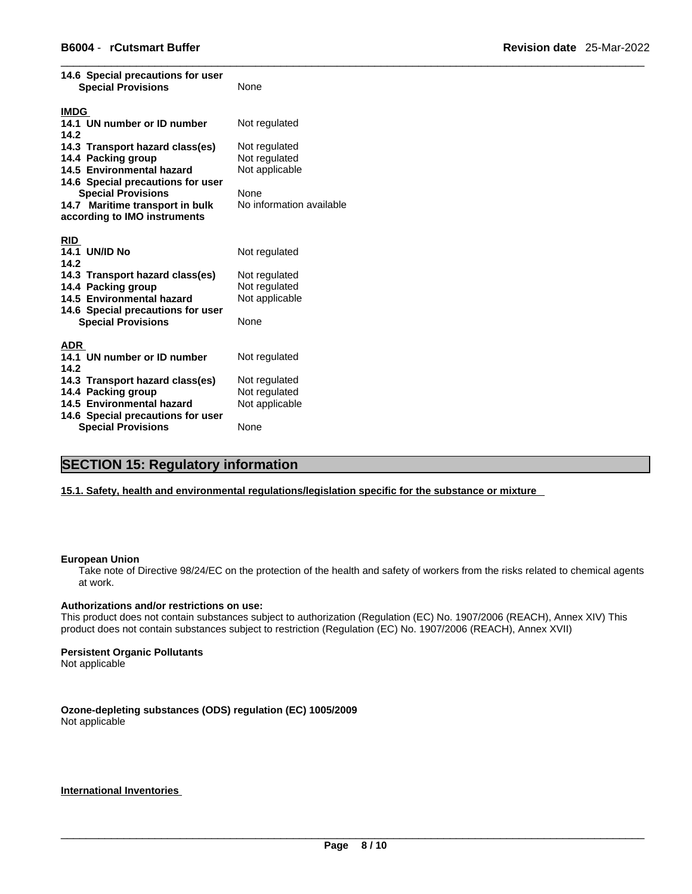| None                     |
|--------------------------|
|                          |
| Not regulated            |
|                          |
| Not regulated            |
| Not regulated            |
| Not applicable           |
|                          |
| None                     |
| No information available |
|                          |
|                          |
|                          |
| Not regulated            |
|                          |
| Not regulated            |
| Not regulated            |
| Not applicable           |
|                          |
| None                     |
|                          |
| Not regulated            |
|                          |
|                          |
|                          |
| Not regulated            |
| Not regulated            |
| Not applicable           |
|                          |

### **SECTION 15: Regulatory information**

#### **15.1. Safety, health and environmental regulations/legislation specific for the substance or mixture**

#### **European Union**

Take note of Directive 98/24/EC on the protection of the health and safety of workers from the risks related to chemical agents at work.

#### **Authorizations and/or restrictions on use:**

This product does not contain substances subject to authorization (Regulation (EC) No. 1907/2006 (REACH), Annex XIV) This product does not contain substances subject to restriction (Regulation (EC) No. 1907/2006 (REACH), Annex XVII)

#### **Persistent Organic Pollutants**

Not applicable

### **Ozone-depleting substances (ODS) regulation (EC) 1005/2009**

Not applicable

#### **International Inventories**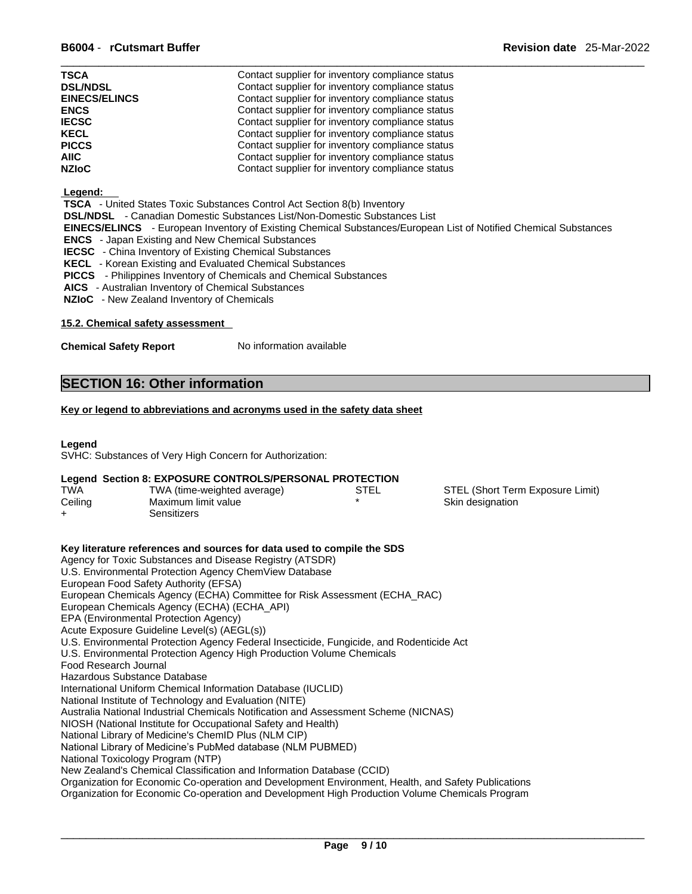| <b>TSCA</b>          | Contact supplier for inventory compliance status |
|----------------------|--------------------------------------------------|
| <b>DSL/NDSL</b>      | Contact supplier for inventory compliance status |
| <b>EINECS/ELINCS</b> | Contact supplier for inventory compliance status |
| <b>ENCS</b>          | Contact supplier for inventory compliance status |
| <b>IECSC</b>         | Contact supplier for inventory compliance status |
| <b>KECL</b>          | Contact supplier for inventory compliance status |
| <b>PICCS</b>         | Contact supplier for inventory compliance status |
| <b>AIIC</b>          | Contact supplier for inventory compliance status |
| <b>NZIoC</b>         | Contact supplier for inventory compliance status |

#### **Legend:**

 **TSCA** - United States Toxic Substances Control Act Section 8(b) Inventory

 **DSL/NDSL** - Canadian Domestic Substances List/Non-Domestic Substances List

 **EINECS/ELINCS** - European Inventory of Existing Chemical Substances/European List of Notified Chemical Substances

- **ENCS**  Japan Existing and New Chemical Substances
- **IECSC**  China Inventory of Existing Chemical Substances
- **KECL**  Korean Existing and Evaluated Chemical Substances

 **PICCS** - Philippines Inventory of Chemicals and Chemical Substances

 **AICS** - Australian Inventory of Chemical Substances

 **NZIoC** - New Zealand Inventory of Chemicals

#### **15.2. Chemical safety assessment**

**Chemical Safety Report** No information available

### **SECTION 16: Other information**

#### **Key or legend to abbreviations and acronyms used in the safety data sheet**

#### **Legend**

SVHC: Substances of Very High Concern for Authorization:

#### **Legend Section 8: EXPOSURE CONTROLS/PERSONAL PROTECTION**

| <b>TWA</b> | TWA (time-weighted average) | STEL | STEL (Short Term Exposure Limit) |
|------------|-----------------------------|------|----------------------------------|
| Ceiling    | Maximum limit value         |      | Skin designation                 |
|            | Sensitizers                 |      |                                  |

#### **Key literature references and sources for data used to compile the SDS** Agency for Toxic Substances and Disease Registry (ATSDR) U.S. Environmental Protection Agency ChemView Database European Food Safety Authority (EFSA) European Chemicals Agency (ECHA) Committee for Risk Assessment (ECHA\_RAC) European Chemicals Agency (ECHA) (ECHA\_API) EPA (Environmental Protection Agency) Acute Exposure Guideline Level(s) (AEGL(s)) U.S. Environmental Protection Agency Federal Insecticide, Fungicide, and Rodenticide Act U.S. Environmental Protection Agency High Production Volume Chemicals Food Research Journal Hazardous Substance Database International Uniform Chemical Information Database (IUCLID) National Institute of Technology and Evaluation (NITE) Australia National Industrial Chemicals Notification and Assessment Scheme (NICNAS) NIOSH (National Institute for Occupational Safety and Health) National Library of Medicine's ChemID Plus (NLM CIP) National Library of Medicine's PubMed database (NLM PUBMED) National Toxicology Program (NTP) New Zealand's Chemical Classification and Information Database (CCID) Organization for Economic Co-operation and Development Environment, Health, and Safety Publications Organization for Economic Co-operation and Development High Production Volume Chemicals Program